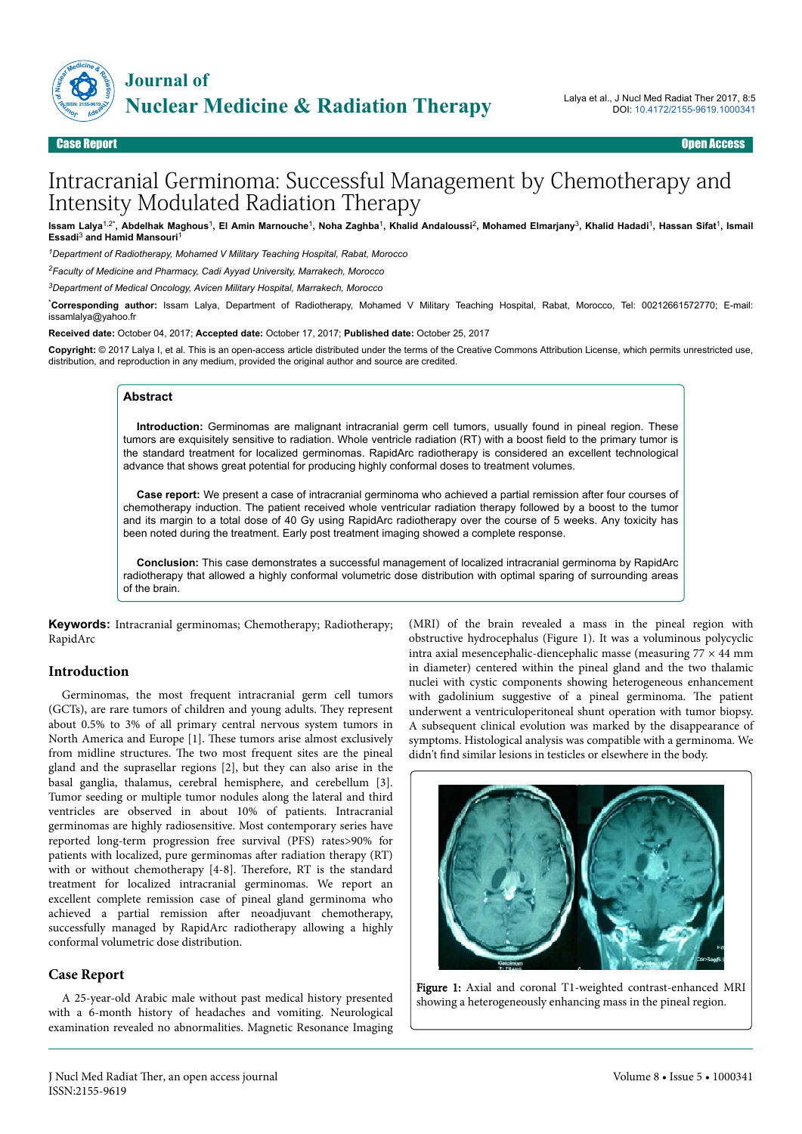

# Intracranial Germinoma: Successful Management by Chemotherapy and Intensity Modulated Radiation Therapy

Issam Lalya<sup>1,2\*</sup>, Abdelhak Maghous<sup>1</sup>, El Amin Marnouche<sup>1</sup>, Noha Zaghba<sup>1</sup>, Khalid Andaloussi<sup>2</sup>, Mohamed Elmarjany<sup>3</sup>, Khalid Hadadi<sup>1</sup>, Hassan Sifat<sup>1</sup>, Ismail Essadi<sup>3</sup> and Hamid Mansouri<sup>1</sup>

*<sup>1</sup>Department of Radiotherapy, Mohamed V Military Teaching Hospital, Rabat, Morocco*

*<sup>2</sup>Faculty of Medicine and Pharmacy, Cadi Ayyad University, Marrakech, Morocco*

*<sup>3</sup>Department of Medical Oncology, Avicen Military Hospital, Marrakech, Morocco*

\***Corresponding author:** Issam Lalya, Department of Radiotherapy, Mohamed V Military Teaching Hospital, Rabat, Morocco, Tel: 00212661572770; E-mail: issamlalya@yahoo.fr

**Received date:** October 04, 2017; **Accepted date:** October 17, 2017; **Published date:** October 25, 2017

**Copyright:** © 2017 Lalya I, et al. This is an open-access article distributed under the terms of the Creative Commons Attribution License, which permits unrestricted use, distribution, and reproduction in any medium, provided the original author and source are credited.

#### **Abstract**

**Introduction:** Germinomas are malignant intracranial germ cell tumors, usually found in pineal region. These tumors are exquisitely sensitive to radiation. Whole ventricle radiation (RT) with a boost field to the primary tumor is the standard treatment for localized germinomas. RapidArc radiotherapy is considered an excellent technological advance that shows great potential for producing highly conformal doses to treatment volumes.

**Case report:** We present a case of intracranial germinoma who achieved a partial remission after four courses of chemotherapy induction. The patient received whole ventricular radiation therapy followed by a boost to the tumor and its margin to a total dose of 40 Gy using RapidArc radiotherapy over the course of 5 weeks. Any toxicity has been noted during the treatment. Early post treatment imaging showed a complete response.

**Conclusion:** This case demonstrates a successful management of localized intracranial germinoma by RapidArc radiotherapy that allowed a highly conformal volumetric dose distribution with optimal sparing of surrounding areas of the brain.

**Keywords:** Intracranial germinomas; Chemotherapy; Radiotherapy; RapidArc

## **Introduction**

Germinomas, the most frequent intracranial germ cell tumors (GCTs), are rare tumors of children and young adults. They represent about 0.5% to 3% of all primary central nervous system tumors in North America and Europe [1]. Нese tumors arise almost exclusively from midline structures. Нe two most frequent sites are the pineal gland and the suprasellar regions [2], but they can also arise in the basal ganglia, thalamus, cerebral hemisphere, and cerebellum [3]. Tumor seeding or multiple tumor nodules along the lateral and third ventricles are observed in about 10% of patients. Intracranial germinomas are highly radiosensitive. Most contemporary series have reported long-term progression free survival (PFS) rates>90% for patients with localized, pure germinomas after radiation therapy (RT) with or without chemotherapy [4-8]. Нerefore, RT is the standard treatment for localized intracranial germinomas. We report an excellent complete remission case of pineal gland germinoma who achieved a partial remission after neoadjuvant chemotherapy, successfully managed by RapidArc radiotherapy allowing a highly conformal volumetric dose distribution.

## **Case Report**

A 25-year-old Arabic male without past medical history presented with a 6-month history of headaches and vomiting. Neurological examination revealed no abnormalities. Magnetic Resonance Imaging

(MRI) of the brain revealed a mass in the pineal region with obstructive hydrocephalus (Figure 1). It was a voluminous polycyclic intra axial mesencephalic-diencephalic masse (measuring  $77 \times 44$  mm in diameter) centered within the pineal gland and the two thalamic nuclei with cystic components showing heterogeneous enhancement with gadolinium suggestive of a pineal germinoma. Нe patient underwent a ventriculoperitoneal shunt operation with tumor biopsy. A subsequent clinical evolution was marked by the disappearance of symptoms. Histological analysis was compatible with a germinoma. We didn't find similar lesions in testicles or elsewhere in the body.



Figure 1: Axial and coronal T1-weighted contrast-enhanced MRI showing a heterogeneously enhancing mass in the pineal region.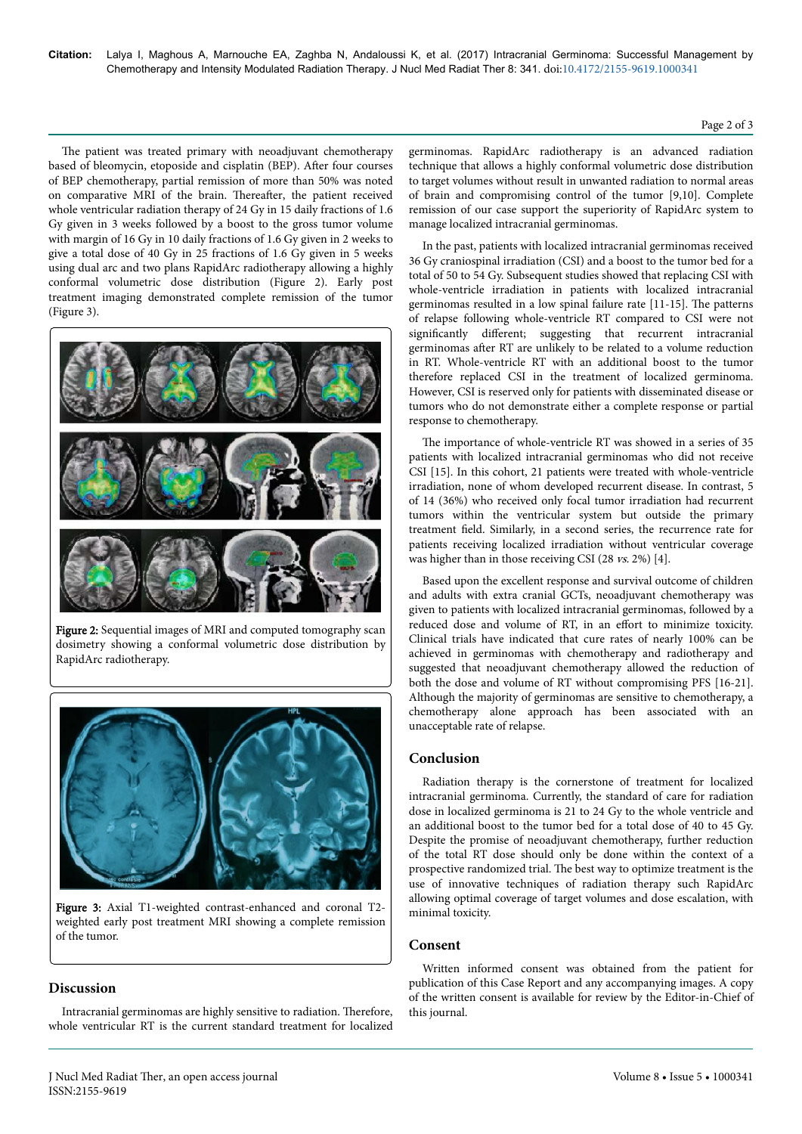The patient was treated primary with neoadjuvant chemotherapy based of bleomycin, etoposide and cisplatin (BEP). After four courses of BEP chemotherapy, partial remission of more than 50% was noted on comparative MRI of the brain. Thereafter, the patient received whole ventricular radiation therapy of 24 Gy in 15 daily fractions of 1.6 Gy given in 3 weeks followed by a boost to the gross tumor volume with margin of 16 Gy in 10 daily fractions of 1.6 Gy given in 2 weeks to give a total dose of 40 Gy in 25 fractions of 1.6 Gy given in 5 weeks using dual arc and two plans RapidArc radiotherapy allowing a highly conformal volumetric dose distribution (Figure 2). Early post treatment imaging demonstrated complete remission of the tumor (Figure 3).



Figure 2: Sequential images of MRI and computed tomography scan dosimetry showing a conformal volumetric dose distribution by RapidArc radiotherapy.



Figure 3: Axial T1-weighted contrast-enhanced and coronal T2 weighted early post treatment MRI showing a complete remission of the tumor.

# **Discussion**

Intracranial germinomas are highly sensitive to radiation. Нerefore, whole ventricular RT is the current standard treatment for localized germinomas. RapidArc radiotherapy is an advanced radiation technique that allows a highly conformal volumetric dose distribution to target volumes without result in unwanted radiation to normal areas of brain and compromising control of the tumor [9,10]. Complete remission of our case support the superiority of RapidArc system to manage localized intracranial germinomas.

In the past, patients with localized intracranial germinomas received 36 Gy craniospinal irradiation (CSI) and a boost to the tumor bed for a total of 50 to 54 Gy. Subsequent studies showed that replacing CSI with whole-ventricle irradiation in patients with localized intracranial germinomas resulted in a low spinal failure rate [11-15]. Нe patterns of relapse following whole-ventricle RT compared to CSI were not significantly different; suggesting that recurrent intracranial germinomas after RT are unlikely to be related to a volume reduction in RT. Whole-ventricle RT with an additional boost to the tumor therefore replaced CSI in the treatment of localized germinoma. However, CSI is reserved only for patients with disseminated disease or tumors who do not demonstrate either a complete response or partial response to chemotherapy.

The importance of whole-ventricle RT was showed in a series of 35 patients with localized intracranial germinomas who did not receive CSI [15]. In this cohort, 21 patients were treated with whole-ventricle irradiation, none of whom developed recurrent disease. In contrast, 5 of 14 (36%) who received only focal tumor irradiation had recurrent tumors within the ventricular system but outside the primary treatment field. Similarly, in a second series, the recurrence rate for patients receiving localized irradiation without ventricular coverage was higher than in those receiving CSI (28 vs. 2%) [4].

Based upon the excellent response and survival outcome of children and adults with extra cranial GCTs, neoadjuvant chemotherapy was given to patients with localized intracranial germinomas, followed by a reduced dose and volume of RT, in an effort to minimize toxicity. Clinical trials have indicated that cure rates of nearly 100% can be achieved in germinomas with chemotherapy and radiotherapy and suggested that neoadjuvant chemotherapy allowed the reduction of both the dose and volume of RT without compromising PFS [16-21]. Although the majority of germinomas are sensitive to chemotherapy, a chemotherapy alone approach has been associated with an unacceptable rate of relapse.

# **Conclusion**

Radiation therapy is the cornerstone of treatment for localized intracranial germinoma. Currently, the standard of care for radiation dose in localized germinoma is 21 to 24 Gy to the whole ventricle and an additional boost to the tumor bed for a total dose of 40 to 45 Gy. Despite the promise of neoadjuvant chemotherapy, further reduction of the total RT dose should only be done within the context of a prospective randomized trial. Нe best way to optimize treatment is the use of innovative techniques of radiation therapy such RapidArc allowing optimal coverage of target volumes and dose escalation, with minimal toxicity.

## **Consent**

Written informed consent was obtained from the patient for publication of this Case Report and any accompanying images. A copy of the written consent is available for review by the Editor-in-Chief of this journal.